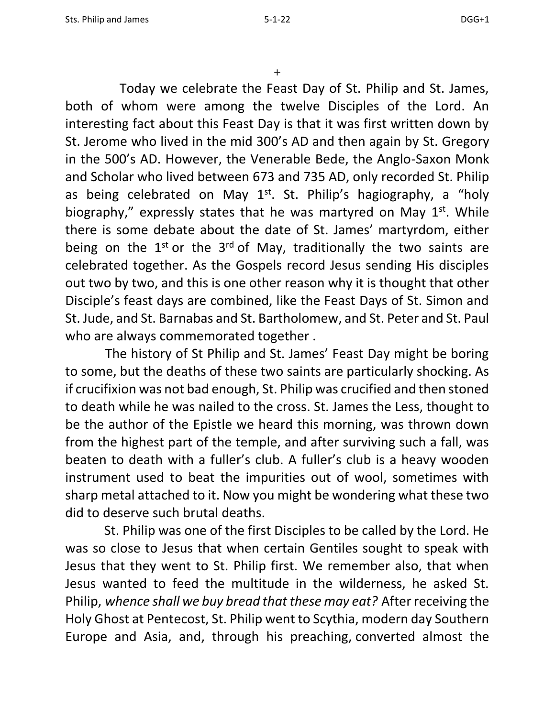+

 Today we celebrate the Feast Day of St. Philip and St. James, both of whom were among the twelve Disciples of the Lord. An interesting fact about this Feast Day is that it was first written down by St. Jerome who lived in the mid 300's AD and then again by St. Gregory in the 500's AD. However, the Venerable Bede, the Anglo-Saxon Monk and Scholar who lived between 673 and 735 AD, only recorded St. Philip as being celebrated on May  $1<sup>st</sup>$ . St. Philip's hagiography, a "holy biography," expressly states that he was martyred on May  $1<sup>st</sup>$ . While there is some debate about the date of St. James' martyrdom, either being on the  $1^{st}$  or the  $3^{rd}$  of May, traditionally the two saints are celebrated together. As the Gospels record Jesus sending His disciples out two by two, and this is one other reason why it is thought that other Disciple's feast days are combined, like the Feast Days of St. Simon and St. Jude, and St. Barnabas and St. Bartholomew, and St. Peter and St. Paul who are always commemorated together .

 The history of St Philip and St. James' Feast Day might be boring to some, but the deaths of these two saints are particularly shocking. As if crucifixion was not bad enough, St. Philip was crucified and then stoned to death while he was nailed to the cross. St. James the Less, thought to be the author of the Epistle we heard this morning, was thrown down from the highest part of the temple, and after surviving such a fall, was beaten to death with a fuller's club. A fuller's club is a heavy wooden instrument used to beat the impurities out of wool, sometimes with sharp metal attached to it. Now you might be wondering what these two did to deserve such brutal deaths.

 St. Philip was one of the first Disciples to be called by the Lord. He was so close to Jesus that when certain Gentiles sought to speak with Jesus that they went to St. Philip first. We remember also, that when Jesus wanted to feed the multitude in the wilderness, he asked St. Philip, *whence shall we buy bread that these may eat?* After receiving the Holy Ghost at Pentecost, St. Philip went to Scythia, modern day Southern Europe and Asia, and, through his preaching, converted almost the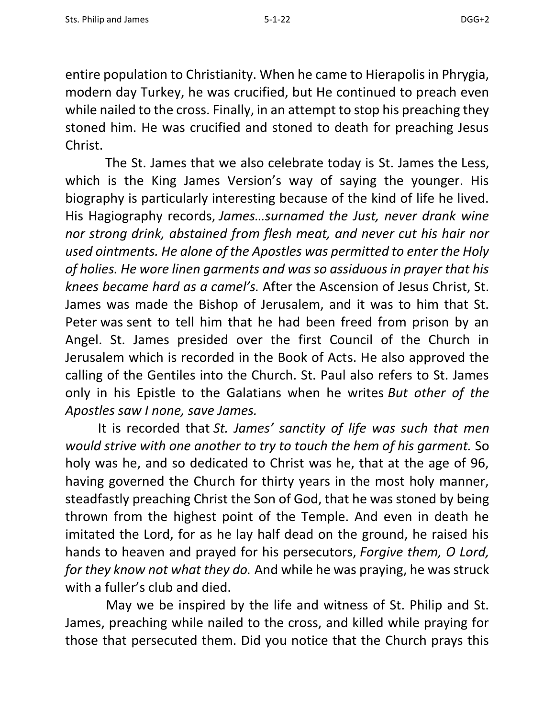entire population to Christianity. When he came to Hierapolis in Phrygia, modern day Turkey, he was crucified, but He continued to preach even while nailed to the cross. Finally, in an attempt to stop his preaching they stoned him. He was crucified and stoned to death for preaching Jesus Christ.

 The St. James that we also celebrate today is St. James the Less, which is the King James Version's way of saying the younger. His biography is particularly interesting because of the kind of life he lived. His Hagiography records, *James…surnamed the Just, never drank wine nor strong drink, abstained from flesh meat, and never cut his hair nor used ointments. He alone of the Apostles was permitted to enter the Holy of holies. He wore linen garments and was so assiduous in prayer that his knees became hard as a camel's.* After the Ascension of Jesus Christ, St. James was made the Bishop of Jerusalem, and it was to him that St. Peter was sent to tell him that he had been freed from prison by an Angel. St. James presided over the first Council of the Church in Jerusalem which is recorded in the Book of Acts. He also approved the calling of the Gentiles into the Church. St. Paul also refers to St. James only in his Epistle to the Galatians when he writes *But other of the Apostles saw I none, save James.*

It is recorded that *St. James' sanctity of life was such that men would strive with one another to try to touch the hem of his garment.* So holy was he, and so dedicated to Christ was he, that at the age of 96, having governed the Church for thirty years in the most holy manner, steadfastly preaching Christ the Son of God, that he was stoned by being thrown from the highest point of the Temple. And even in death he imitated the Lord, for as he lay half dead on the ground, he raised his hands to heaven and prayed for his persecutors, *Forgive them, O Lord, for they know not what they do.* And while he was praying, he was struck with a fuller's club and died.

 May we be inspired by the life and witness of St. Philip and St. James, preaching while nailed to the cross, and killed while praying for those that persecuted them. Did you notice that the Church prays this